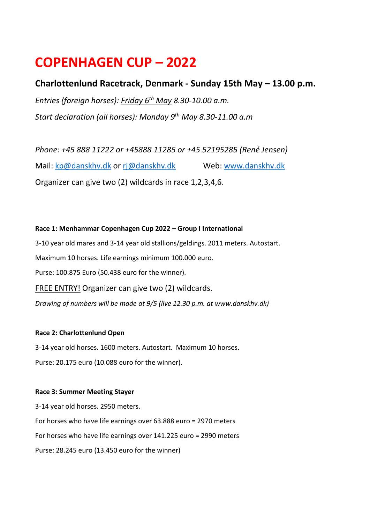# **COPENHAGEN CUP – 2022**

# **Charlottenlund Racetrack, Denmark - Sunday 15th May – 13.00 p.m.**

*Entries (foreign horses): Friday 6 th May 8.30-10.00 a.m. Start declaration (all horses): Monday 9 th May 8.30-11.00 a.m*

*Phone: +45 888 11222 or +45888 11285 or +45 52195285 (René Jensen)* Mail: [kp@danskhv.dk](mailto:kp@danskhv.dk) or [rj@danskhv.dk](mailto:rj@danskhv.dk) Web: [www.danskhv.dk](http://www.danskhv.dk/) Organizer can give two (2) wildcards in race 1,2,3,4,6.

**Race 1: Menhammar Copenhagen Cup 2022 – Group I International** 3-10 year old mares and 3-14 year old stallions/geldings. 2011 meters. Autostart. Maximum 10 horses. Life earnings minimum 100.000 euro. Purse: 100.875 Euro (50.438 euro for the winner). FREE ENTRY! Organizer can give two (2) wildcards. *Drawing of numbers will be made at 9/5 (live 12.30 p.m. at www.danskhv.dk)*

## **Race 2: Charlottenlund Open**

3-14 year old horses. 1600 meters. Autostart. Maximum 10 horses. Purse: 20.175 euro (10.088 euro for the winner).

### **Race 3: Summer Meeting Stayer**

3-14 year old horses. 2950 meters. For horses who have life earnings over 63.888 euro = 2970 meters For horses who have life earnings over 141.225 euro = 2990 meters Purse: 28.245 euro (13.450 euro for the winner)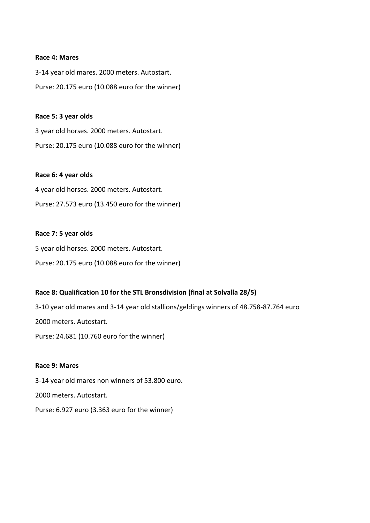#### **Race 4: Mares**

3-14 year old mares. 2000 meters. Autostart. Purse: 20.175 euro (10.088 euro for the winner)

#### **Race 5: 3 year olds**

3 year old horses. 2000 meters. Autostart. Purse: 20.175 euro (10.088 euro for the winner)

#### **Race 6: 4 year olds**

4 year old horses. 2000 meters. Autostart. Purse: 27.573 euro (13.450 euro for the winner)

#### **Race 7: 5 year olds**

5 year old horses. 2000 meters. Autostart. Purse: 20.175 euro (10.088 euro for the winner)

#### **Race 8: Qualification 10 for the STL Bronsdivision (final at Solvalla 28/5)**

3-10 year old mares and 3-14 year old stallions/geldings winners of 48.758-87.764 euro 2000 meters. Autostart. Purse: 24.681 (10.760 euro for the winner)

#### **Race 9: Mares**

3-14 year old mares non winners of 53.800 euro. 2000 meters. Autostart.

Purse: 6.927 euro (3.363 euro for the winner)